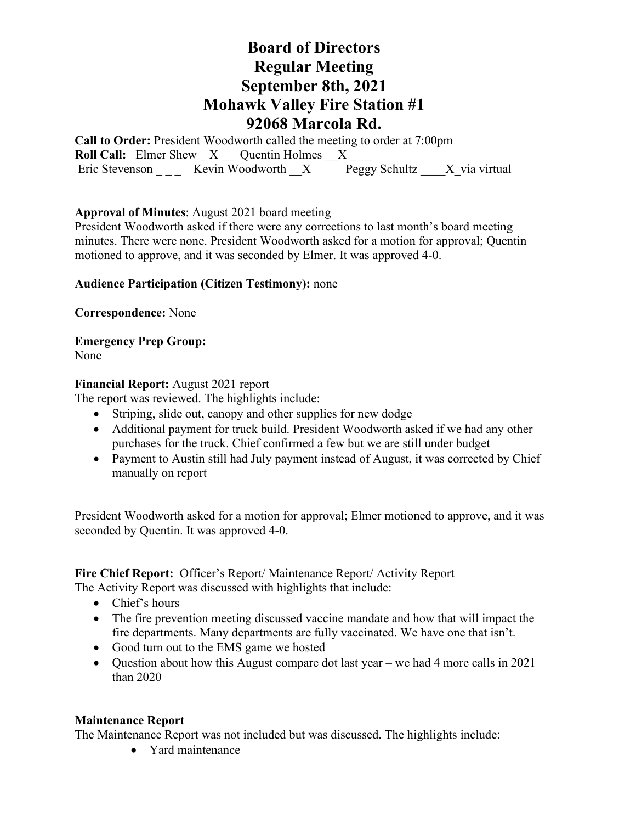# **Board of Directors Regular Meeting September 8th, 2021 Mohawk Valley Fire Station #1 92068 Marcola Rd.**

**Call to Order:** President Woodworth called the meeting to order at 7:00pm **Roll Call:** Elmer Shew  $X$  Quentin Holmes X Eric Stevenson \_\_\_\_\_ Kevin Woodworth \_\_X  $\overline{P_{\text{eggy}}}$  Schultz  $\overline{X}$  via virtual

### **Approval of Minutes**: August 2021 board meeting

President Woodworth asked if there were any corrections to last month's board meeting minutes. There were none. President Woodworth asked for a motion for approval; Quentin motioned to approve, and it was seconded by Elmer. It was approved 4-0.

### **Audience Participation (Citizen Testimony):** none

**Correspondence:** None

**Emergency Prep Group:** 

None

### **Financial Report:** August 2021 report

The report was reviewed. The highlights include:

- Striping, slide out, canopy and other supplies for new dodge
- Additional payment for truck build. President Woodworth asked if we had any other purchases for the truck. Chief confirmed a few but we are still under budget
- Payment to Austin still had July payment instead of August, it was corrected by Chief manually on report

President Woodworth asked for a motion for approval; Elmer motioned to approve, and it was seconded by Quentin. It was approved 4-0.

# **Fire Chief Report:** Officer's Report/ Maintenance Report/ Activity Report

The Activity Report was discussed with highlights that include:

- Chief's hours
- The fire prevention meeting discussed vaccine mandate and how that will impact the fire departments. Many departments are fully vaccinated. We have one that isn't.
- Good turn out to the EMS game we hosted
- Question about how this August compare dot last year we had 4 more calls in 2021 than 2020

## **Maintenance Report**

The Maintenance Report was not included but was discussed. The highlights include:

• Yard maintenance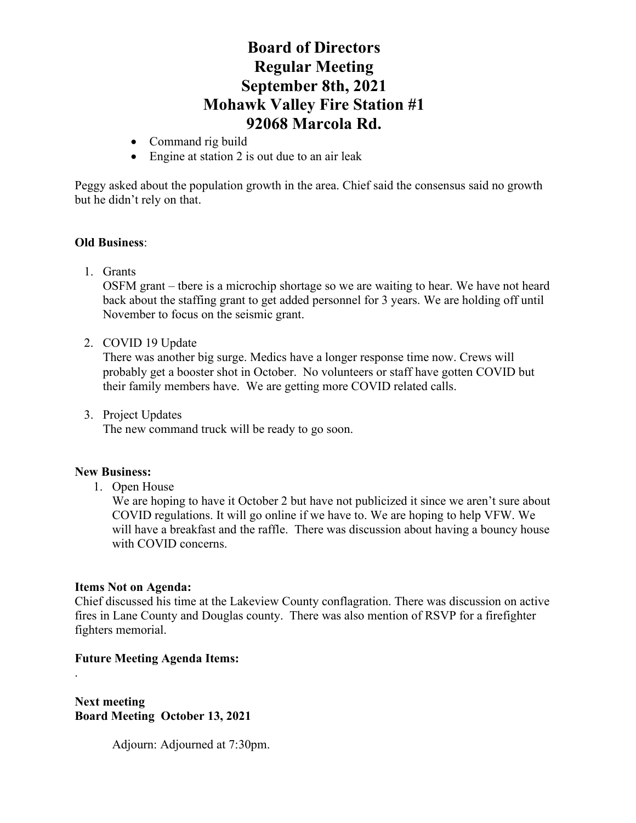# **Board of Directors Regular Meeting September 8th, 2021 Mohawk Valley Fire Station #1 92068 Marcola Rd.**

- Command rig build
- Engine at station 2 is out due to an air leak

Peggy asked about the population growth in the area. Chief said the consensus said no growth but he didn't rely on that.

### **Old Business**:

1. Grants

OSFM grant – tbere is a microchip shortage so we are waiting to hear. We have not heard back about the staffing grant to get added personnel for 3 years. We are holding off until November to focus on the seismic grant.

2. COVID 19 Update

There was another big surge. Medics have a longer response time now. Crews will probably get a booster shot in October. No volunteers or staff have gotten COVID but their family members have. We are getting more COVID related calls.

3. Project Updates

The new command truck will be ready to go soon.

### **New Business:**

1. Open House

We are hoping to have it October 2 but have not publicized it since we aren't sure about COVID regulations. It will go online if we have to. We are hoping to help VFW. We will have a breakfast and the raffle. There was discussion about having a bouncy house with COVID concerns.

### **Items Not on Agenda:**

.

Chief discussed his time at the Lakeview County conflagration. There was discussion on active fires in Lane County and Douglas county. There was also mention of RSVP for a firefighter fighters memorial.

### **Future Meeting Agenda Items:**

**Next meeting Board Meeting October 13, 2021**

Adjourn: Adjourned at 7:30pm.